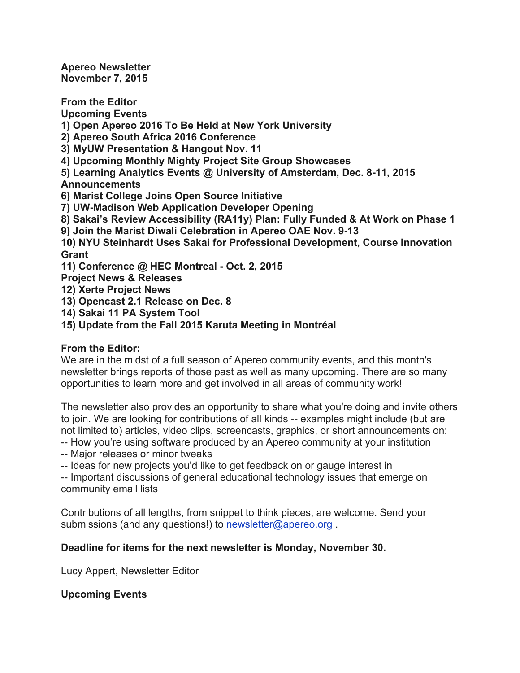**Apereo Newsletter November 7, 2015**

**From the Editor Upcoming Events**

**1) Open Apereo 2016 To Be Held at New York University**

**2) Apereo South Africa 2016 Conference**

**3) MyUW Presentation & Hangout Nov. 11**

**4) Upcoming Monthly Mighty Project Site Group Showcases**

**5) Learning Analytics Events @ University of Amsterdam, Dec. 8-11, 2015 Announcements**

**6) Marist College Joins Open Source Initiative**

**7) UW-Madison Web Application Developer Opening**

**8) Sakai's Review Accessibility (RA11y) Plan: Fully Funded & At Work on Phase 1**

**9) Join the Marist Diwali Celebration in Apereo OAE Nov. 9-13**

**10) NYU Steinhardt Uses Sakai for Professional Development, Course Innovation Grant**

**11) Conference @ HEC Montreal - Oct. 2, 2015**

**Project News & Releases**

**12) Xerte Project News**

**13) Opencast 2.1 Release on Dec. 8**

**14) Sakai 11 PA System Tool**

**15) Update from the Fall 2015 Karuta Meeting in Montréal**

## **From the Editor:**

We are in the midst of a full season of Apereo community events, and this month's newsletter brings reports of those past as well as many upcoming. There are so many opportunities to learn more and get involved in all areas of community work!

The newsletter also provides an opportunity to share what you're doing and invite others to join. We are looking for contributions of all kinds -- examples might include (but are not limited to) articles, video clips, screencasts, graphics, or short announcements on:

-- How you're using software produced by an Apereo community at your institution

-- Major releases or minor tweaks

-- Ideas for new projects you'd like to get feedback on or gauge interest in

-- Important discussions of general educational technology issues that emerge on community email lists

Contributions of all lengths, from snippet to think pieces, are welcome. Send your submissions (and any questions!) to newsletter@apereo.org.

## **Deadline for items for the next newsletter is Monday, November 30.**

Lucy Appert, Newsletter Editor

## **Upcoming Events**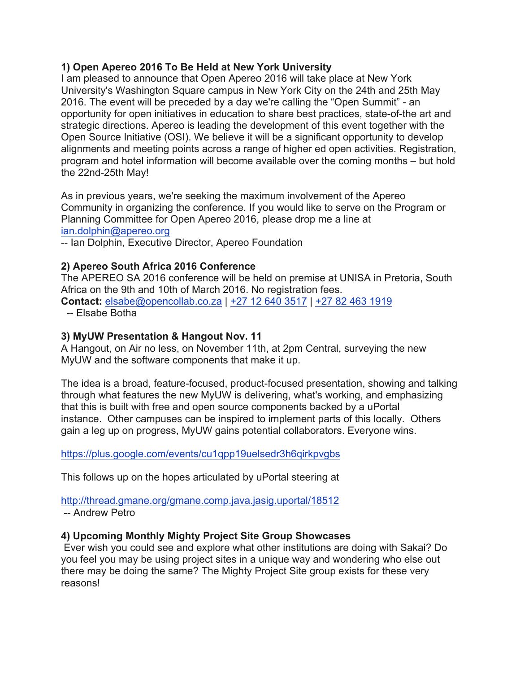## **1) Open Apereo 2016 To Be Held at New York University**

I am pleased to announce that Open Apereo 2016 will take place at New York University's Washington Square campus in New York City on the 24th and 25th May 2016. The event will be preceded by a day we're calling the "Open Summit" - an opportunity for open initiatives in education to share best practices, state-of-the art and strategic directions. Apereo is leading the development of this event together with the Open Source Initiative (OSI). We believe it will be a significant opportunity to develop alignments and meeting points across a range of higher ed open activities. Registration, program and hotel information will become available over the coming months – but hold the 22nd-25th May!

As in previous years, we're seeking the maximum involvement of the Apereo Community in organizing the conference. If you would like to serve on the Program or Planning Committee for Open Apereo 2016, please drop me a line at ian.dolphin@apereo.org

-- Ian Dolphin, Executive Director, Apereo Foundation

## **2) Apereo South Africa 2016 Conference**

The APEREO SA 2016 conference will be held on premise at UNISA in Pretoria, South Africa on the 9th and 10th of March 2016. No registration fees. **Contact:** elsabe@opencollab.co.za | +27 12 640 3517 | +27 82 463 1919

-- Elsabe Botha

## **3) MyUW Presentation & Hangout Nov. 11**

A Hangout, on Air no less, on November 11th, at 2pm Central, surveying the new MyUW and the software components that make it up.

The idea is a broad, feature-focused, product-focused presentation, showing and talking through what features the new MyUW is delivering, what's working, and emphasizing that this is built with free and open source components backed by a uPortal instance. Other campuses can be inspired to implement parts of this locally. Others gain a leg up on progress, MyUW gains potential collaborators. Everyone wins.

https://plus.google.com/events/cu1qpp19uelsedr3h6qirkpvgbs

This follows up on the hopes articulated by uPortal steering at

http://thread.gmane.org/gmane.comp.java.jasig.uportal/18512 -- Andrew Petro

# **4) Upcoming Monthly Mighty Project Site Group Showcases**

Ever wish you could see and explore what other institutions are doing with Sakai? Do you feel you may be using project sites in a unique way and wondering who else out there may be doing the same? The Mighty Project Site group exists for these very reasons!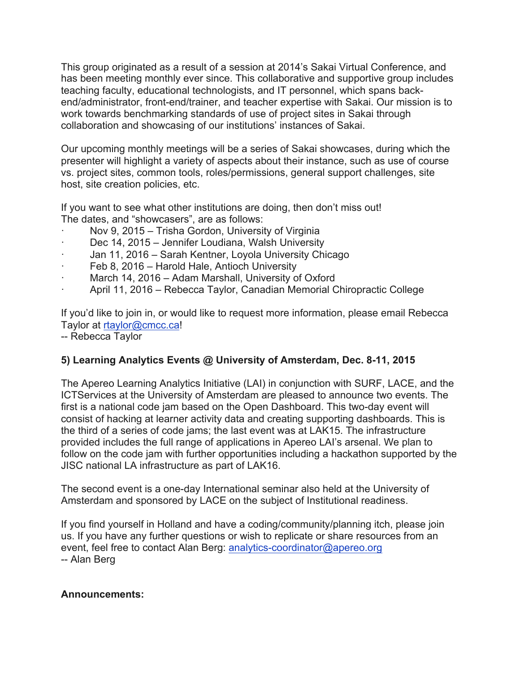This group originated as a result of a session at 2014's Sakai Virtual Conference, and has been meeting monthly ever since. This collaborative and supportive group includes teaching faculty, educational technologists, and IT personnel, which spans backend/administrator, front-end/trainer, and teacher expertise with Sakai. Our mission is to work towards benchmarking standards of use of project sites in Sakai through collaboration and showcasing of our institutions' instances of Sakai.

Our upcoming monthly meetings will be a series of Sakai showcases, during which the presenter will highlight a variety of aspects about their instance, such as use of course vs. project sites, common tools, roles/permissions, general support challenges, site host, site creation policies, etc.

If you want to see what other institutions are doing, then don't miss out! The dates, and "showcasers", are as follows:

- Nov 9, 2015 Trisha Gordon, University of Virginia
- Dec 14, 2015 Jennifer Loudiana, Walsh University
- Jan 11, 2016 Sarah Kentner, Loyola University Chicago
- Feb 8, 2016 Harold Hale, Antioch University
- March 14, 2016 Adam Marshall, University of Oxford
- · April 11, 2016 Rebecca Taylor, Canadian Memorial Chiropractic College

If you'd like to join in, or would like to request more information, please email Rebecca Taylor at rtaylor@cmcc.ca!

-- Rebecca Taylor

## **5) Learning Analytics Events @ University of Amsterdam, Dec. 8-11, 2015**

The Apereo Learning Analytics Initiative (LAI) in conjunction with SURF, LACE, and the ICTServices at the University of Amsterdam are pleased to announce two events. The first is a national code jam based on the Open Dashboard. This two-day event will consist of hacking at learner activity data and creating supporting dashboards. This is the third of a series of code jams; the last event was at LAK15. The infrastructure provided includes the full range of applications in Apereo LAI's arsenal. We plan to follow on the code jam with further opportunities including a hackathon supported by the JISC national LA infrastructure as part of LAK16.

The second event is a one-day International seminar also held at the University of Amsterdam and sponsored by LACE on the subject of Institutional readiness.

If you find yourself in Holland and have a coding/community/planning itch, please join us. If you have any further questions or wish to replicate or share resources from an event, feel free to contact Alan Berg: analytics-coordinator@apereo.org -- Alan Berg

#### **Announcements:**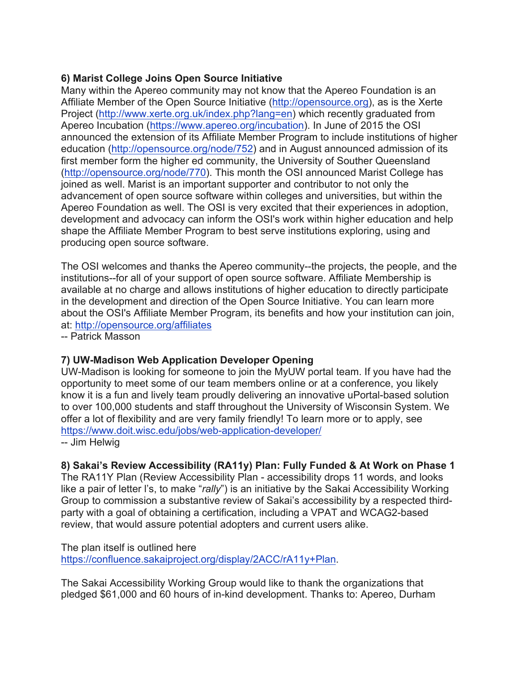## **6) Marist College Joins Open Source Initiative**

Many within the Apereo community may not know that the Apereo Foundation is an Affiliate Member of the Open Source Initiative (http://opensource.org), as is the Xerte Project (http://www.xerte.org.uk/index.php?lang=en) which recently graduated from Apereo Incubation (https://www.apereo.org/incubation). In June of 2015 the OSI announced the extension of its Affiliate Member Program to include institutions of higher education (http://opensource.org/node/752) and in August announced admission of its first member form the higher ed community, the University of Souther Queensland (http://opensource.org/node/770). This month the OSI announced Marist College has joined as well. Marist is an important supporter and contributor to not only the advancement of open source software within colleges and universities, but within the Apereo Foundation as well. The OSI is very excited that their experiences in adoption, development and advocacy can inform the OSI's work within higher education and help shape the Affiliate Member Program to best serve institutions exploring, using and producing open source software.

The OSI welcomes and thanks the Apereo community--the projects, the people, and the institutions--for all of your support of open source software. Affiliate Membership is available at no charge and allows institutions of higher education to directly participate in the development and direction of the Open Source Initiative. You can learn more about the OSI's Affiliate Member Program, its benefits and how your institution can join, at: http://opensource.org/affiliates

-- Patrick Masson

## **7) UW-Madison Web Application Developer Opening**

UW-Madison is looking for someone to join the MyUW portal team. If you have had the opportunity to meet some of our team members online or at a conference, you likely know it is a fun and lively team proudly delivering an innovative uPortal-based solution to over 100,000 students and staff throughout the University of Wisconsin System. We offer a lot of flexibility and are very family friendly! To learn more or to apply, see https://www.doit.wisc.edu/jobs/web-application-developer/

-- Jim Helwig

#### **8) Sakai's Review Accessibility (RA11y) Plan: Fully Funded & At Work on Phase 1**

The RA11Y Plan (Review Accessibility Plan - accessibility drops 11 words, and looks like a pair of letter l's, to make "*rally*") is an initiative by the Sakai Accessibility Working Group to commission a substantive review of Sakai's accessibility by a respected thirdparty with a goal of obtaining a certification, including a VPAT and WCAG2-based review, that would assure potential adopters and current users alike.

The plan itself is outlined here https://confluence.sakaiproject.org/display/2ACC/rA11y+Plan.

The Sakai Accessibility Working Group would like to thank the organizations that pledged \$61,000 and 60 hours of in-kind development. Thanks to: Apereo, Durham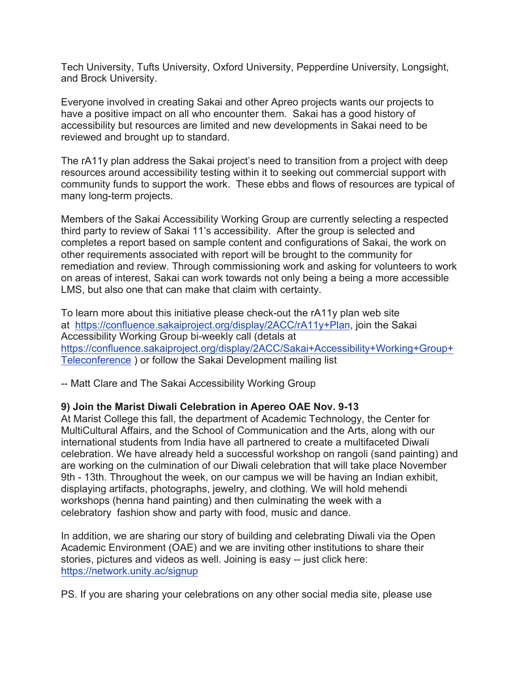Tech University, Tufts University, Oxford University, Pepperdine University, Longsight, and Brock University.

Everyone involved in creating Sakai and other Apreo projects wants our projects to have a positive impact on all who encounter them. Sakai has a good history of accessibility but resources are limited and new developments in Sakai need to be reviewed and brought up to standard.

The rA11y plan address the Sakai project's need to transition from a project with deep resources around accessibility testing within it to seeking out commercial support with community funds to support the work. These ebbs and flows of resources are typical of many long-term projects.

Members of the Sakai Accessibility Working Group are currently selecting a respected third party to review of Sakai 11's accessibility. After the group is selected and completes a report based on sample content and configurations of Sakai, the work on other requirements associated with report will be brought to the community for remediation and review. Through commissioning work and asking for volunteers to work on areas of interest, Sakai can work towards not only being a being a more accessible LMS, but also one that can make that claim with certainty.

To learn more about this initiative please check-out the rA11y plan web site at https://confluence.sakaiproject.org/display/2ACC/rA11y+Plan, join the Sakai Accessibility Working Group bi-weekly call (detals at https://confluence.sakaiproject.org/display/2ACC/Sakai+Accessibility+Working+Group+ Teleconference ) or follow the Sakai Development mailing list

-- Matt Clare and The Sakai Accessibility Working Group

#### **9) Join the Marist Diwali Celebration in Apereo OAE Nov. 9-13**

At Marist College this fall, the department of Academic Technology, the Center for MultiCultural Affairs, and the School of Communication and the Arts, along with our international students from India have all partnered to create a multifaceted Diwali celebration. We have already held a successful workshop on rangoli (sand painting) and are working on the culmination of our Diwali celebration that will take place November 9th - 13th. Throughout the week, on our campus we will be having an Indian exhibit, displaying artifacts, photographs, jewelry, and clothing. We will hold mehendi workshops (henna hand painting) and then culminating the week with a celebratory fashion show and party with food, music and dance.

In addition, we are sharing our story of building and celebrating Diwali via the Open Academic Environment (OAE) and we are inviting other institutions to share their stories, pictures and videos as well. Joining is easy -- just click here: https://network.unity.ac/signup

PS. If you are sharing your celebrations on any other social media site, please use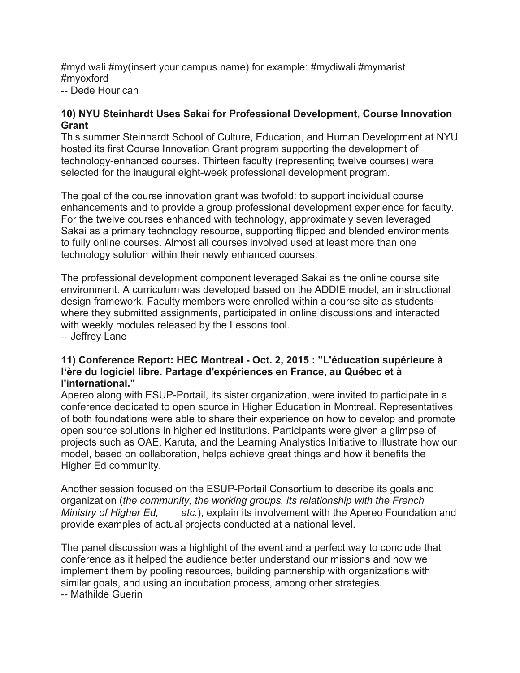#mydiwali #my(insert your campus name) for example: #mydiwali #mymarist #myoxford

-- Dede Hourican

#### **10) NYU Steinhardt Uses Sakai for Professional Development, Course Innovation Grant**

This summer Steinhardt School of Culture, Education, and Human Development at NYU hosted its first Course Innovation Grant program supporting the development of technology-enhanced courses. Thirteen faculty (representing twelve courses) were selected for the inaugural eight-week professional development program.

The goal of the course innovation grant was twofold: to support individual course enhancements and to provide a group professional development experience for faculty. For the twelve courses enhanced with technology, approximately seven leveraged Sakai as a primary technology resource, supporting flipped and blended environments to fully online courses. Almost all courses involved used at least more than one technology solution within their newly enhanced courses.

The professional development component leveraged Sakai as the online course site environment. A curriculum was developed based on the ADDIE model, an instructional design framework. Faculty members were enrolled within a course site as students where they submitted assignments, participated in online discussions and interacted with weekly modules released by the Lessons tool.

-- Jeffrey Lane

#### **11) Conference Report: HEC Montreal - Oct. 2, 2015 : "L'éducation supérieure à l'ère du logiciel libre. Partage d'expériences en France, au Québec et à l'international."**

Apereo along with ESUP-Portail, its sister organization, were invited to participate in a conference dedicated to open source in Higher Education in Montreal. Representatives of both foundations were able to share their experience on how to develop and promote open source solutions in higher ed institutions. Participants were given a glimpse of projects such as OAE, Karuta, and the Learning Analystics Initiative to illustrate how our model, based on collaboration, helps achieve great things and how it benefits the Higher Ed community.

Another session focused on the ESUP-Portail Consortium to describe its goals and organization (*the community, the working groups, its relationship with the French Ministry of Higher Ed, etc.*), explain its involvement with the Apereo Foundation and provide examples of actual projects conducted at a national level.

The panel discussion was a highlight of the event and a perfect way to conclude that conference as it helped the audience better understand our missions and how we implement them by pooling resources, building partnership with organizations with similar goals, and using an incubation process, among other strategies.

-- Mathilde Guerin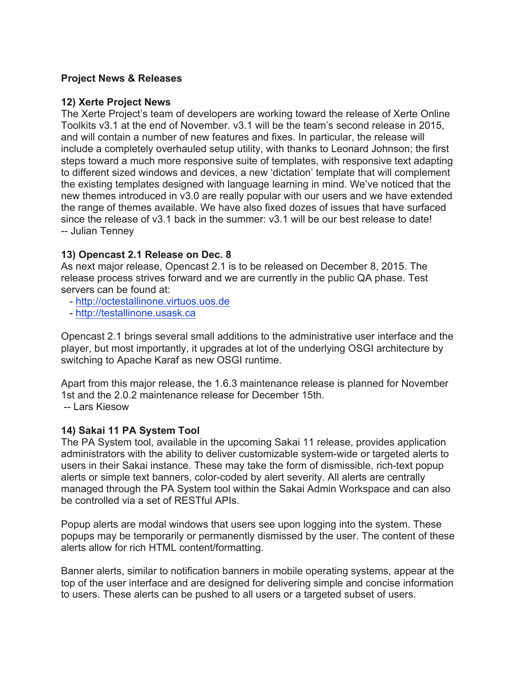#### **Project News & Releases**

#### **12) Xerte Project News**

The Xerte Project's team of developers are working toward the release of Xerte Online Toolkits v3.1 at the end of November. v3.1 will be the team's second release in 2015, and will contain a number of new features and fixes. In particular, the release will include a completely overhauled setup utility, with thanks to Leonard Johnson; the first steps toward a much more responsive suite of templates, with responsive text adapting to different sized windows and devices, a new 'dictation' template that will complement the existing templates designed with language learning in mind. We've noticed that the new themes introduced in v3.0 are really popular with our users and we have extended the range of themes available. We have also fixed dozes of issues that have surfaced since the release of v3.1 back in the summer: v3.1 will be our best release to date! -- Julian Tenney

#### **13) Opencast 2.1 Release on Dec. 8**

As next major release, Opencast 2.1 is to be released on December 8, 2015. The release process strives forward and we are currently in the public QA phase. Test servers can be found at:

- http://octestallinone.virtuos.uos.de
- http://testallinone.usask.ca

Opencast 2.1 brings several small additions to the administrative user interface and the player, but most importantly, it upgrades at lot of the underlying OSGI architecture by switching to Apache Karaf as new OSGI runtime.

Apart from this major release, the 1.6.3 maintenance release is planned for November 1st and the 2.0.2 maintenance release for December 15th. -- Lars Kiesow

#### **14) Sakai 11 PA System Tool**

The PA System tool, available in the upcoming Sakai 11 release, provides application administrators with the ability to deliver customizable system-wide or targeted alerts to users in their Sakai instance. These may take the form of dismissible, rich-text popup alerts or simple text banners, color-coded by alert severity. All alerts are centrally managed through the PA System tool within the Sakai Admin Workspace and can also be controlled via a set of RESTful APIs.

Popup alerts are modal windows that users see upon logging into the system. These popups may be temporarily or permanently dismissed by the user. The content of these alerts allow for rich HTML content/formatting.

Banner alerts, similar to notification banners in mobile operating systems, appear at the top of the user interface and are designed for delivering simple and concise information to users. These alerts can be pushed to all users or a targeted subset of users.